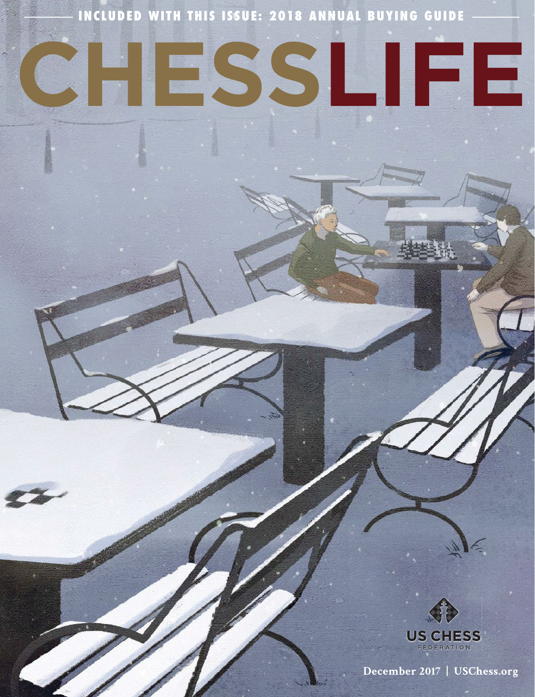**INCLUDED WITH THIS ISSUE: 2018 ANNUAL BUYING GUIDE**

# ESSLIFE CH



 **December 2017 | USChess.org**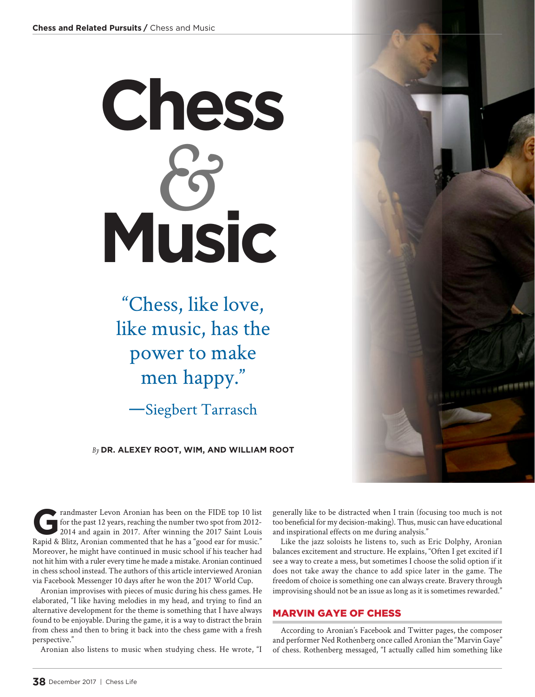# **Chess Music** *&*

"Chess, like love, like music, has the power to make men happy."

—Siegbert Tarrasch

*By* **DR. ALEXEY ROOT, WIM, AND WILLIAM ROOT**

Frandmaster Levon Aronian has been on the FIDE top 10 list<br>for the past 12 years, reaching the number two spot from 2012-<br>2014 and again in 2017. After winning the 2017 Saint Louis for the past 12 years, reaching the number two spot from 2012- 2014 and again in 2017. After winning the 2017 Saint Louis Rapid & Blitz, Aronian commented that he has a "good ear for music." Moreover, he might have continued in music school if his teacher had not hit him with a ruler every time he made a mistake. Aronian continued in chess school instead. The authors of this article interviewed Aronian via Facebook Messenger 10 days after he won the 2017 World Cup.

Aronian improvises with pieces of music during his chess games. He elaborated, "I like having melodies in my head, and trying to find an alternative development for the theme is something that I have always found to be enjoyable. During the game, it is a way to distract the brain from chess and then to bring it back into the chess game with a fresh perspective."

Aronian also listens to music when studying chess. He wrote, "I

generally like to be distracted when I train (focusing too much is not too beneficial for my decision-making). Thus, music can have educational and inspirational effects on me during analysis."

Like the jazz soloists he listens to, such as Eric Dolphy, Aronian balances excitement and structure. He explains, "Often I get excited if I see a way to create a mess, but sometimes I choose the solid option if it does not take away the chance to add spice later in the game. The freedom of choice is something one can always create. Bravery through improvising should not be an issue as long as it is sometimes rewarded."

#### MARVIN GAYE OF CHESS

According to Aronian's Facebook and Twitter pages, the composer and performer Ned Rothenberg once called Aronian the "Marvin Gaye" of chess. Rothenberg messaged, "I actually called him something like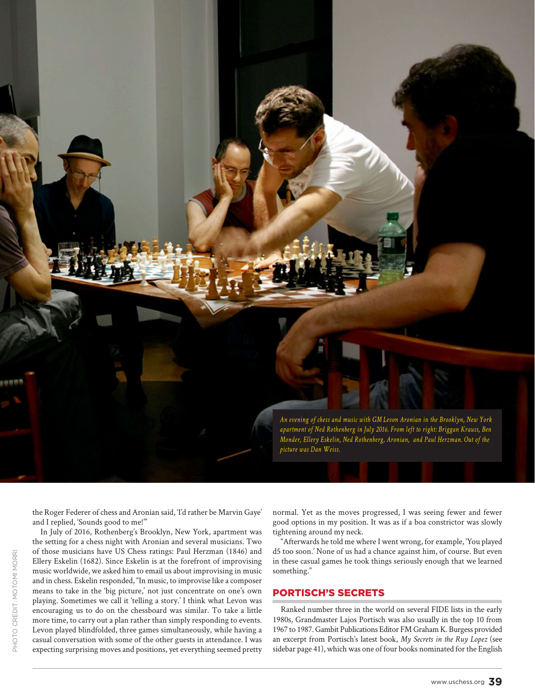

the Roger Federer of chess and Aronian said, 'I'd rather be Marvin Gaye' and I replied, 'Sounds good to me!'"

In July of 2016, Rothenberg's Brooklyn, New York, apartment was the setting for a chess night with Aronian and several musicians. Two of those musicians have US Chess ratings: Paul Herzman (1846) and Ellery Eskelin (1682). Since Eskelin is at the forefront of improvising music worldwide, we asked him to email us about improvising in music and in chess. Eskelin responded, "In music, to improvise like a composer means to take in the 'big picture,' not just concentrate on one's own playing. Sometimes we call it 'telling a story.' I think what Levon was encouraging us to do on the chessboard was similar. To take a little more time, to carry out a plan rather than simply responding to events. Levon played blindfolded, three games simultaneously, while having a casual conversation with some of the other guests in attendance. I was expecting surprising moves and positions, yet everything seemed pretty

normal. Yet as the moves progressed, I was seeing fewer and fewer good options in my position. It was as if a boa constrictor was slowly tightening around my neck.

"Afterwards he told me where I went wrong, for example, 'You played d5 too soon.' None of us had a chance against him, of course. But even in these casual games he took things seriously enough that we learned something."

#### PORTISCH'S SECRETS

Ranked number three in the world on several FIDE lists in the early 1980s, Grandmaster Lajos Portisch was also usually in the top 10 from 1967 to 1987. Gambit Publications Editor FM Graham K. Burgess provided an excerpt from Portisch's latest book, *My Secrets in the Ruy Lopez* (see sidebar page 41), which was one of four books nominated for the English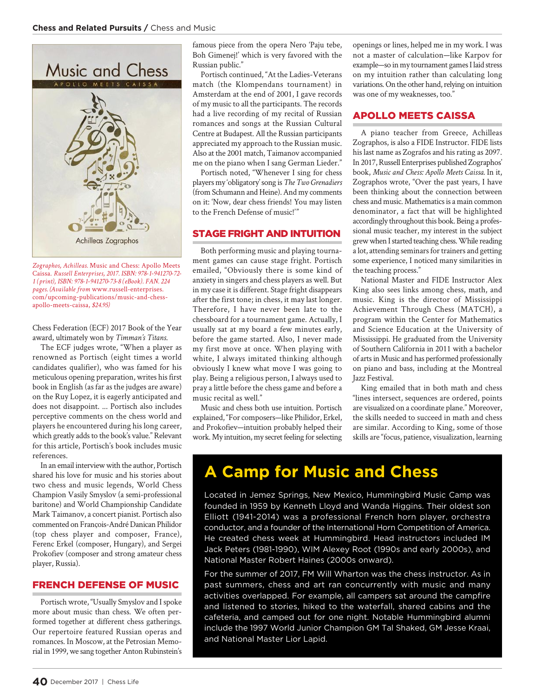

*Zographos, Achilleas.* Music and Chess: Apollo Meets Caissa. *Russell Enterprises, 2017. ISBN: 978-1-941270-72- 1 (print), ISBN: 978-1-941270-73-8 (eBook). FAN. 224 pages. (Available from* www.russell-enterprises. com/upcoming-publications/music-and-chessapollo-meets-caissa, *\$24.95)*

Chess Federation (ECF) 2017 Book of the Year award, ultimately won by *Timman's Titans*.

The ECF judges wrote, "When a player as renowned as Portisch (eight times a world candidates qualifier), who was famed for his meticulous opening preparation, writes his first book in English (as far as the judges are aware) on the Ruy Lopez, it is eagerly anticipated and does not disappoint. ... Portisch also includes perceptive comments on the chess world and players he encountered during his long career, which greatly adds to the book's value." Relevant for this article, Portisch's book includes music references.

In an email interview with the author, Portisch shared his love for music and his stories about two chess and music legends, World Chess Champion Vasily Smyslov (a semi-professional baritone) and World Championship Candidate Mark Taimanov, a concert pianist. Portisch also commented on François-André Danican Philidor (top chess player and composer, France), Ferenc Erkel (composer, Hungary), and Sergei Prokofiev (composer and strong amateur chess player, Russia).

#### FRENCH DEFENSE OF MUSIC

Portisch wrote, "Usually Smyslov and I spoke more about music than chess. We often performed together at different chess gatherings. Our repertoire featured Russian operas and romances. In Moscow, at the Petrosian Memorial in 1999, we sang together Anton Rubinstein's famous piece from the opera Nero 'Paju tebe, Boh Gimenej!' which is very favored with the Russian public."

Portisch continued, "At the Ladies-Veterans match (the Klompendans tournament) in Amsterdam at the end of 2001, I gave records of my music to all the participants. The records had a live recording of my recital of Russian romances and songs at the Russian Cultural Centre at Budapest. All the Russian participants appreciated my approach to the Russian music. Also at the 2001 match, Taimanov accompanied me on the piano when I sang German Lieder."

Portisch noted, "Whenever I sing for chess players my 'obligatory' song is *The Two Grenadiers* (from Schumann and Heine). And my comments on it: 'Now, dear chess friends! You may listen to the French Defense of music!'"

#### STAGE FRIGHT AND INTUITION

Both performing music and playing tourna ment games can cause stage fright. Portisch emailed, "Obviously there is some kind of anxiety in singers and chess players as well. But in my case it is different. Stage fright disappears after the first tone; in chess, it may last longer. Therefore, I have never been late to the chessboard for a tournament game. Actually, I usually sat at my board a few minutes early, before the game started. Also, I never made my first move at once. When playing with white, I always imitated thinking although obviously I knew what move I was going to play. Being a religious person, I always used to pray a little before the chess game and before a music recital as well."

Music and chess both use intuition. Portisch explained, "For composers—like Philidor, Erkel, and Prokofiev—intuition probably helped their work. My intuition, my secret feeling for selecting openings or lines, helped me in my work. I was not a master of calculation—like Karpov for example—so in my tournament games I laid stress on my intuition rather than calculating long variations. On the other hand, relying on intuition was one of my weaknesses, too."

#### APOLLO MEETS CAISSA

A piano teacher from Greece, Achilleas Zographos, is also a FIDE Instructor. FIDE lists his last name as Zografos and his rating as 2097. In 2017, Russell Enterprises published Zographos' book, *Music and Chess: Apollo Meets Caissa.* In it, Zographos wrote, "Over the past years, I have been thinking about the connection between chess and music. Mathematics is a main common denominator, a fact that will be highlighted accordingly throughout this book. Being a professional music teacher, my interest in the subject grew when I started teaching chess. While reading a lot, attending seminars for trainers and getting some experience, I noticed many similarities in the teaching process."

National Master and FIDE Instructor Alex King also sees links among chess, math, and music. King is the director of Mississippi Achievement Through Chess (MATCH), a program within the Center for Mathematics and Science Education at the University of Mississippi. He graduated from the University of Southern California in 2011 with a bachelor of arts in Music and has performed professionally on piano and bass, including at the Montreal Jazz Festival.

King emailed that in both math and chess "lines intersect, sequences are ordered, points are visualized on a coordinate plane." Moreover, the skills needed to succeed in math and chess are similar. According to King, some of those skills are "focus, patience, visualization, learning

### **A Camp for Music and Chess**

Located in Jemez Springs, New Mexico, Hummingbird Music Camp was founded in 1959 by Kenneth Lloyd and Wanda Higgins. Their oldest son Elliott (1941-2014) was a professional French horn player, orchestra conductor, and a founder of the International Horn Competition of America. He created chess week at Hummingbird. Head instructors included IM Jack Peters (1981-1990), WIM Alexey Root (1990s and early 2000s), and National Master Robert Haines (2000s onward).

For the summer of 2017, FM Will Wharton was the chess instructor. As in past summers, chess and art ran concurrently with music and many activities overlapped. For example, all campers sat around the campfire and listened to stories, hiked to the waterfall, shared cabins and the cafeteria, and camped out for one night. Notable Hummingbird alumni include the 1997 World Junior Champion GM Tal Shaked, GM Jesse Kraai, and National Master Lior Lapid.